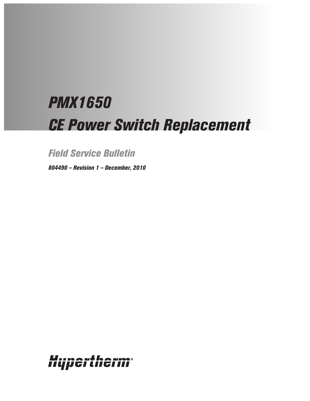# *PMX1650 CE Power Switch Replacement*

*Field Service Bulletin*

*804490 – Revision 1 – December, 2010*

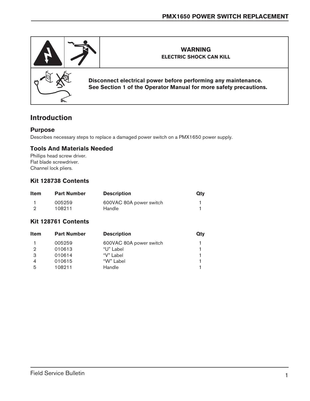

# **Introduction**

#### **Purpose**

Describes necessary steps to replace a damaged power switch on a PMX1650 power supply.

#### **Tools And Materials Needed**

Phillips head screw driver. Flat blade screwdriver. Channel lock pliers.

## **Kit 128738 Contents**

| <b>Item</b> | <b>Part Number</b> | <b>Description</b>      | Qty |
|-------------|--------------------|-------------------------|-----|
|             | 005259             | 600VAC 80A power switch |     |
| റ           | 108211             | Handle                  |     |

## **Kit 128761 Contents**

| <b>Part Number</b> | <b>Description</b>      | <b>Qty</b> |
|--------------------|-------------------------|------------|
| 005259             | 600VAC 80A power switch |            |
| 010613             | "U" Label               |            |
| 010614             | "V" Label               |            |
| 010615             | "W" Label               |            |
| 108211             | Handle                  |            |
|                    |                         |            |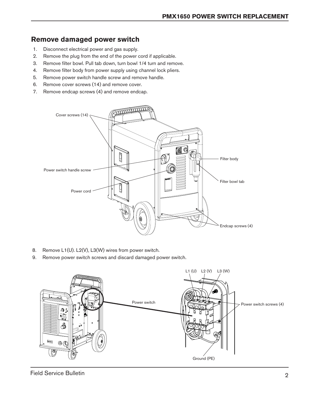# **Remove damaged power switch**

- 1. Disconnect electrical power and gas supply.
- 2. Remove the plug from the end of the power cord if applicable.
- 3. Remove filter bowl. Pull tab down, turn bowl 1/4 turn and remove.
- 4. Remove filter body from power supply using channel lock pliers.
- 5. Remove power switch handle screw and remove handle.
- 6. Remove cover screws (14) and remove cover.
- 7. Remove endcap screws (4) and remove endcap.



- 8. Remove L1(U). L2(V), L3(W) wires from power switch.
- 9. Remove power switch screws and discard damaged power switch.

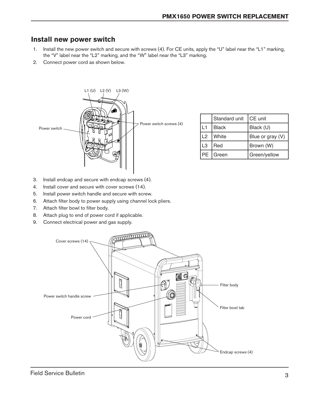## **Install new power switch**

- 1. Install the new power switch and secure with screws (4). For CE units, apply the "U" label near the "L1" marking, the "V" label near the "L2" marking, and the "W" label near the "L3" marking.
- 2. Connect power cord as shown below.



|            | Standard unit | <b>CE</b> unit   |
|------------|---------------|------------------|
| L1         | <b>Black</b>  | Black (U)        |
| $\sqrt{2}$ | White         | Blue or gray (V) |
| L3         | Red           | Brown (W)        |
| <b>PE</b>  | Green         | Green/yellow     |

- 3. Install endcap and secure with endcap screws (4).
- 4. Install cover and secure with cover screws (14).
- 5. Install power switch handle and secure with screw.
- 6. Attach filter body to power supply using channel lock pliers.
- 7. Attach filter bowl to filter body.
- 8. Attach plug to end of power cord if applicable.
- 9. Connect electrical power and gas supply.